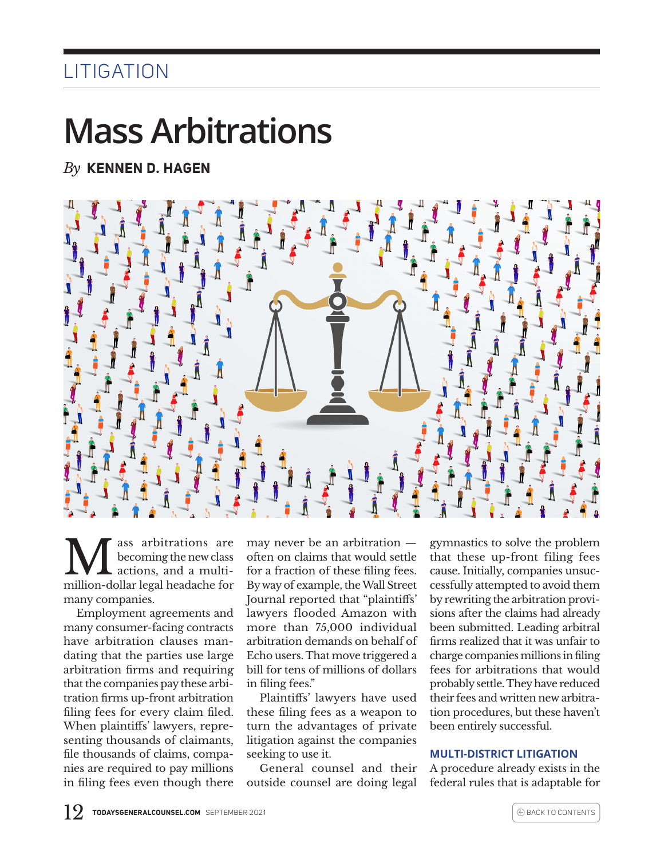## **LITIGATION**

## **Mass Arbitrations**

*By* **KENNEN D. HAGEN**



Mecoming the new class<br>actions, and a multi-<br>million dollar local boodeshe for becoming the new class actions, and a multimillion-dollar legal headache for many companies.

Employment agreements and many consumer-facing contracts have arbitration clauses mandating that the parties use large arbitration firms and requiring that the companies pay these arbitration firms up-front arbitration filing fees for every claim filed. When plaintiffs' lawyers, representing thousands of claimants, file thousands of claims, companies are required to pay millions in filing fees even though there

may never be an arbitration often on claims that would settle for a fraction of these filing fees. By way of example, the Wall Street Journal reported that "plaintiffs' lawyers flooded Amazon with more than 75,000 individual arbitration demands on behalf of Echo users. That move triggered a bill for tens of millions of dollars in filing fees."

Plaintiffs' lawyers have used these filing fees as a weapon to turn the advantages of private litigation against the companies seeking to use it.

General counsel and their outside counsel are doing legal

gymnastics to solve the problem that these up-front filing fees cause. Initially, companies unsuccessfully attempted to avoid them by rewriting the arbitration provisions after the claims had already been submitted. Leading arbitral firms realized that it was unfair to charge companies millions in filing fees for arbitrations that would probably settle. They have reduced their fees and written new arbitration procedures, but these haven't been entirely successful.

## **MULTI-DISTRICT LITIGATION**

A procedure already exists in the federal rules that is adaptable for